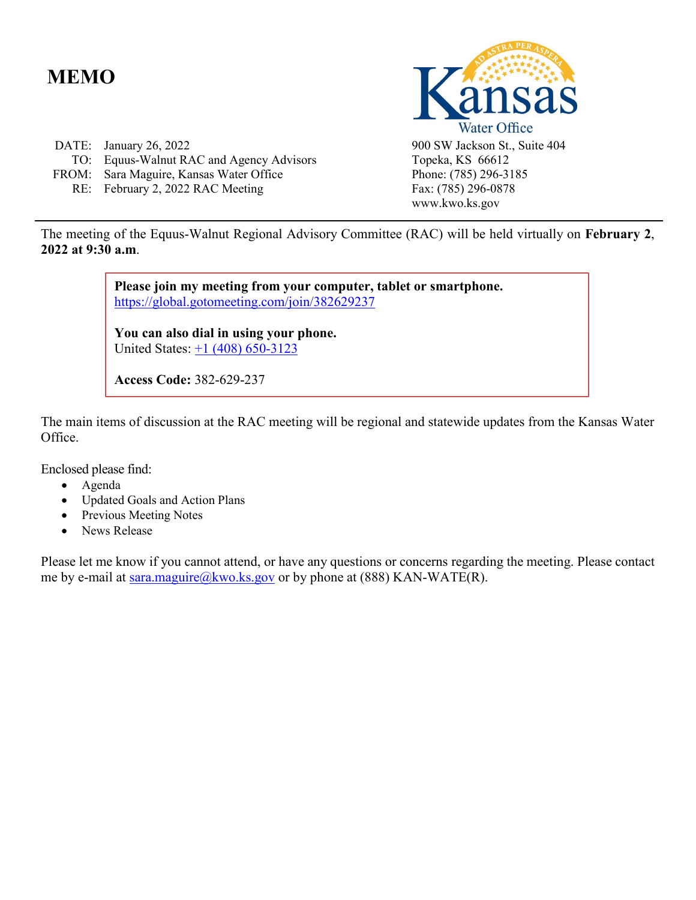# **MEMO**

| DATE: January 26, 2022                   |
|------------------------------------------|
| TO: Equus-Walnut RAC and Agency Advisors |
| FROM: Sara Maguire, Kansas Water Office  |
| RE: February 2, 2022 RAC Meeting         |



900 SW Jackson St., Suite 404 Topeka, KS 66612 Phone: (785) 296-3185 Fax: (785) 296-0878 www.kwo.ks.gov

The meeting of the Equus-Walnut Regional Advisory Committee (RAC) will be held virtually on **February 2**, **2022 at 9:30 a.m**.

> **Please join my meeting from your computer, tablet or smartphone.**  <https://global.gotomeeting.com/join/382629237>

**You can also dial in using your phone.** United States: [+1 \(408\) 650-3123](tel:+14086503123,,382629237)

**Access Code:** 382-629-237

The main items of discussion at the RAC meeting will be regional and statewide updates from the Kansas Water Office.

Enclosed please find:

- Agenda
- Updated Goals and Action Plans
- Previous Meeting Notes
- News Release

Please let me know if you cannot attend, or have any questions or concerns regarding the meeting. Please contact me by e-mail at [sara.maguire@kwo.ks.gov](mailto:sara.maguire@kwo.ks.gov) or by phone at (888) KAN-WATE(R).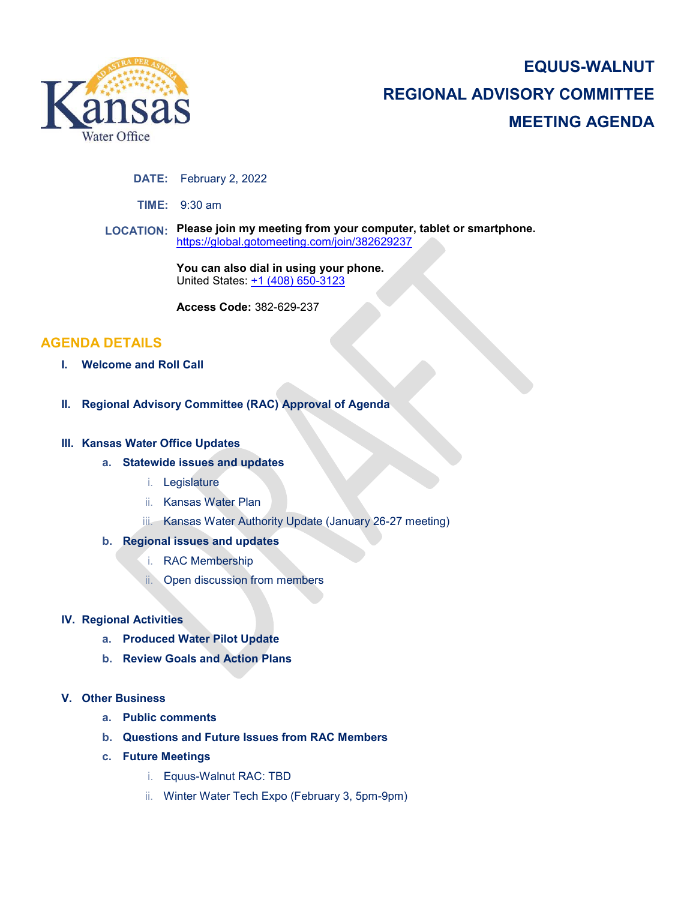

# **EQUUS-WALNUT REGIONAL ADVISORY COMMITTEE MEETING AGENDA**

#### **DATE:** February 2, 2022

**TIME:** 9:30 am

**LOCATION: Please join my meeting from your computer, tablet or smartphone.**  <https://global.gotomeeting.com/join/382629237>

> **You can also dial in using your phone.** United States: [+1 \(408\) 650-3123](tel:+14086503123,,382629237)

**Access Code:** 382-629-237

# **AGENDA DETAILS**

- **I. Welcome and Roll Call**
- **II. Regional Advisory Committee (RAC) Approval of Agenda**

#### **III. Kansas Water Office Updates**

- **a. Statewide issues and updates**
	- i. Legislature
	- ii. Kansas Water Plan
	- iii. Kansas Water Authority Update (January 26-27 meeting)

### **b. Regional issues and updates**

- i. RAC Membership
- ii. Open discussion from members

#### **IV. Regional Activities**

- **a. Produced Water Pilot Update**
- **b. Review Goals and Action Plans**

#### **V. Other Business**

- **a. Public comments**
- **b. Questions and Future Issues from RAC Members**
- **c. Future Meetings**
	- i. Equus-Walnut RAC: TBD
	- ii. Winter Water Tech Expo (February 3, 5pm-9pm)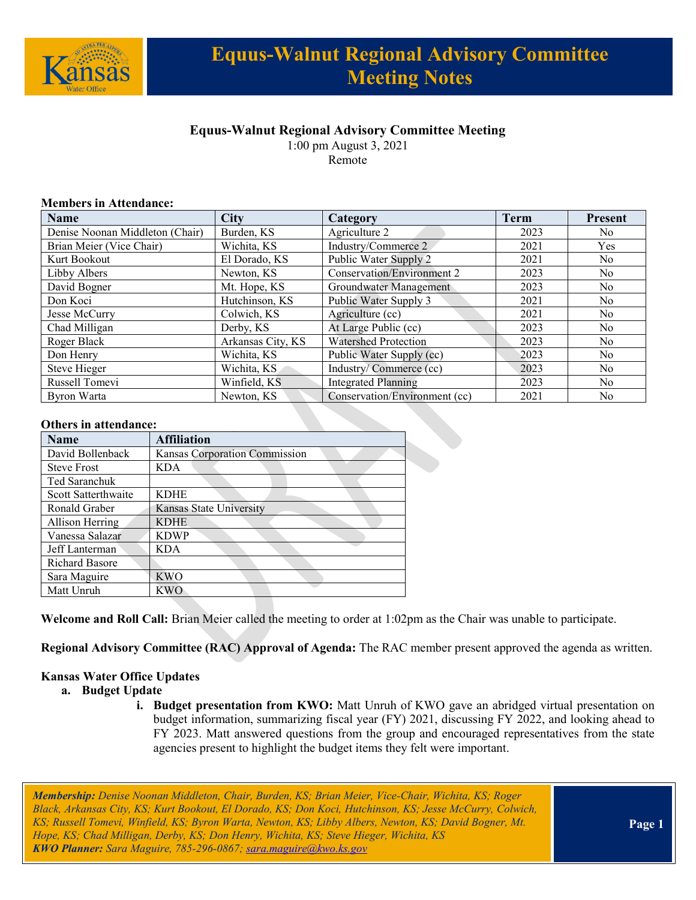

# **Equus-Walnut Regional Advisory Committee Meeting Notes**

# **Equus-Walnut Regional Advisory Committee Meeting**

1:00 pm August 3, 2021

Remote

### **Members in Attendance:**

| <b>Name</b>                     | <b>City</b>       | Category                          | <b>Term</b> | <b>Present</b> |
|---------------------------------|-------------------|-----------------------------------|-------------|----------------|
| Denise Noonan Middleton (Chair) | Burden, KS        | Agriculture 2                     | 2023        | No.            |
| Brian Meier (Vice Chair)        | Wichita, KS       | Industry/Commerce 2               | 2021        | <b>Yes</b>     |
| Kurt Bookout                    | El Dorado, KS     | Public Water Supply 2             | 2021        | No.            |
| Libby Albers                    | Newton, KS        | <b>Conservation/Environment 2</b> | 2023        | No.            |
| David Bogner                    | Mt. Hope, KS      | Groundwater Management            | 2023        | No.            |
| Don Koci                        | Hutchinson, KS    | Public Water Supply 3             | 2021        | N <sub>o</sub> |
| Jesse McCurry                   | Colwich, KS       | Agriculture (cc)                  | 2021        | N <sub>o</sub> |
| Chad Milligan                   | Derby, KS         | At Large Public (cc)              | 2023        | No.            |
| Roger Black                     | Arkansas City, KS | <b>Watershed Protection</b>       | 2023        | No             |
| Don Henry                       | Wichita, KS       | Public Water Supply (cc)          | 2023        | No.            |
| Steve Hieger                    | Wichita, KS       | Industry/Commerce (cc)            | 2023        | N <sub>o</sub> |
| Russell Tomevi                  | Winfield, KS      | <b>Integrated Planning</b>        | 2023        | No.            |
| Byron Warta                     | Newton, KS        | Conservation/Environment (cc)     | 2021        | No.            |

#### **Others in attendance:**

| <b>Others in attendance:</b> |                               |  |
|------------------------------|-------------------------------|--|
| <b>Name</b>                  | <b>Affiliation</b>            |  |
| David Bollenback             | Kansas Corporation Commission |  |
| <b>Steve Frost</b>           | <b>KDA</b>                    |  |
| Ted Saranchuk                |                               |  |
| Scott Satterthwaite          | <b>KDHE</b>                   |  |
| Ronald Graber                | Kansas State University       |  |
| Allison Herring              | <b>KDHE</b>                   |  |
| Vanessa Salazar              | <b>KDWP</b>                   |  |
| Jeff Lanterman               | <b>KDA</b>                    |  |
| <b>Richard Basore</b>        |                               |  |
| Sara Maguire                 | <b>KWO</b>                    |  |
| Matt Unruh                   | KWO                           |  |

**Welcome and Roll Call:** Brian Meier called the meeting to order at 1:02pm as the Chair was unable to participate.

**Regional Advisory Committee (RAC) Approval of Agenda:** The RAC member present approved the agenda as written.

### **Kansas Water Office Updates**

- **a. Budget Update**
	- **i. Budget presentation from KWO:** Matt Unruh of KWO gave an abridged virtual presentation on budget information, summarizing fiscal year (FY) 2021, discussing FY 2022, and looking ahead to FY 2023. Matt answered questions from the group and encouraged representatives from the state agencies present to highlight the budget items they felt were important.

*Membership: Denise Noonan Middleton, Chair, Burden, KS; Brian Meier, Vice-Chair, Wichita, KS; Roger Black, Arkansas City, KS; Kurt Bookout, El Dorado, KS; Don Koci, Hutchinson, KS; Jesse McCurry, Colwich, KS; Russell Tomevi, Winfield, KS; Byron Warta, Newton, KS; Libby Albers, Newton, KS; David Bogner, Mt. Hope, KS; Chad Milligan, Derby, KS; Don Henry, Wichita, KS; Steve Hieger, Wichita, KS KWO Planner: Sara Maguire, 785-296-0867[; sara.maguire@kwo.ks.gov](mailto:sara.maguire@kwo.ks.gov)*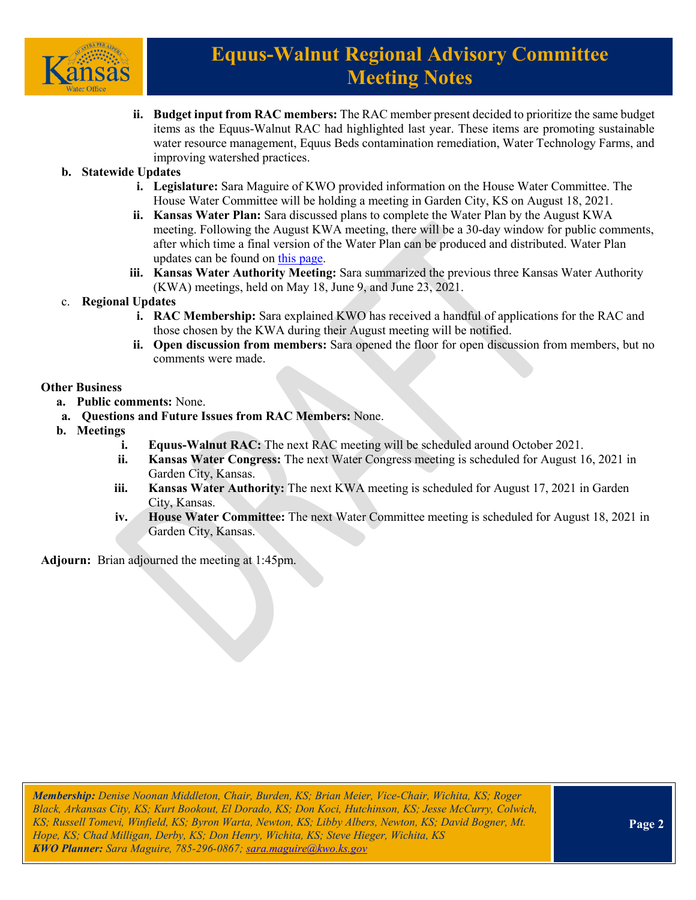

# **Equus-Walnut Regional Advisory Committee Meeting Notes**

**ii. Budget input from RAC members:** The RAC member present decided to prioritize the same budget items as the Equus-Walnut RAC had highlighted last year. These items are promoting sustainable water resource management, Equus Beds contamination remediation, Water Technology Farms, and improving watershed practices.

### **b. Statewide Updates**

- **i. Legislature:** Sara Maguire of KWO provided information on the House Water Committee. The House Water Committee will be holding a meeting in Garden City, KS on August 18, 2021.
- **ii. Kansas Water Plan:** Sara discussed plans to complete the Water Plan by the August KWA meeting. Following the August KWA meeting, there will be a 30-day window for public comments, after which time a final version of the Water Plan can be produced and distributed. Water Plan updates can be found o[n this page.](https://kwo.ks.gov/water-vision-water-plan/water-plan)
- **iii. Kansas Water Authority Meeting:** Sara summarized the previous three Kansas Water Authority (KWA) meetings, held on May 18, June 9, and June 23, 2021.

### c. **Regional Updates**

- **i. RAC Membership:** Sara explained KWO has received a handful of applications for the RAC and those chosen by the KWA during their August meeting will be notified.
- **ii. Open discussion from members:** Sara opened the floor for open discussion from members, but no comments were made.

### **Other Business**

- **a. Public comments:** None.
- **a. Questions and Future Issues from RAC Members:** None.
- **b. Meetings**
	- **i. Equus-Walnut RAC:** The next RAC meeting will be scheduled around October 2021.
	- **ii. Kansas Water Congress:** The next Water Congress meeting is scheduled for August 16, 2021 in Garden City, Kansas.
	- **iii. Kansas Water Authority:** The next KWA meeting is scheduled for August 17, 2021 in Garden City, Kansas.
	- **iv. House Water Committee:** The next Water Committee meeting is scheduled for August 18, 2021 in Garden City, Kansas.

**Adjourn:** Brian adjourned the meeting at 1:45pm.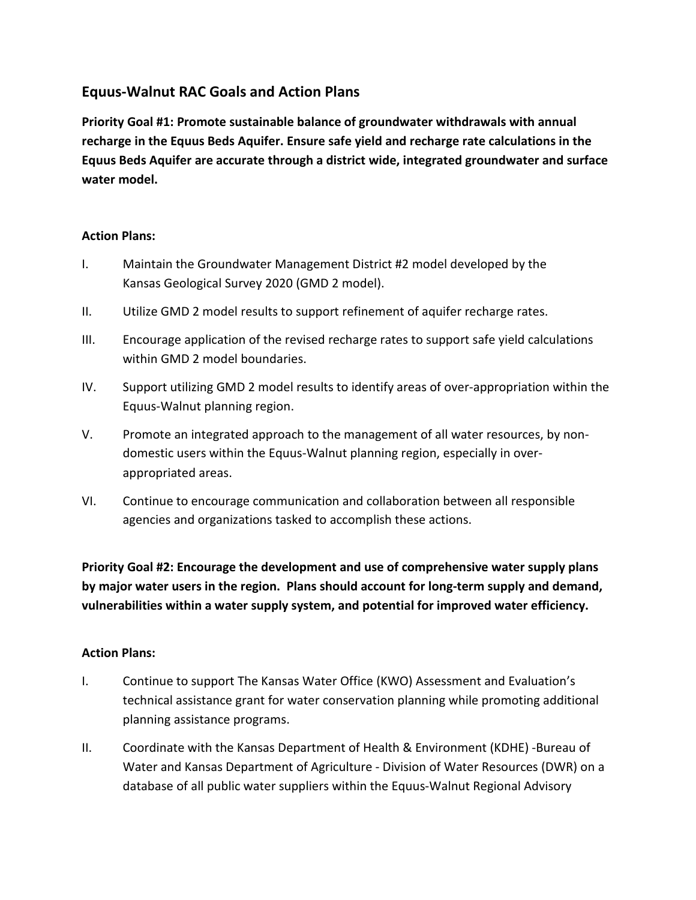# **Equus-Walnut RAC Goals and Action Plans**

**Priority Goal #1: Promote sustainable balance of groundwater withdrawals with annual recharge in the Equus Beds Aquifer. Ensure safe yield and recharge rate calculations in the Equus Beds Aquifer are accurate through a district wide, integrated groundwater and surface water model.**

## **Action Plans:**

- I. Maintain the Groundwater Management District #2 model developed by the Kansas Geological Survey 2020 (GMD 2 model).
- II. Utilize GMD 2 model results to support refinement of aquifer recharge rates.
- III. Encourage application of the revised recharge rates to support safe yield calculations within GMD 2 model boundaries.
- IV. Support utilizing GMD 2 model results to identify areas of over-appropriation within the Equus-Walnut planning region.
- V. Promote an integrated approach to the management of all water resources, by nondomestic users within the Equus-Walnut planning region, especially in overappropriated areas.
- VI. Continue to encourage communication and collaboration between all responsible agencies and organizations tasked to accomplish these actions.

**Priority Goal #2: Encourage the development and use of comprehensive water supply plans by major water users in the region. Plans should account for long-term supply and demand, vulnerabilities within a water supply system, and potential for improved water efficiency.**

## **Action Plans:**

- I. Continue to support The Kansas Water Office (KWO) Assessment and Evaluation's technical assistance grant for water conservation planning while promoting additional planning assistance programs.
- II. Coordinate with the Kansas Department of Health & Environment (KDHE) -Bureau of Water and Kansas Department of Agriculture - Division of Water Resources (DWR) on a database of all public water suppliers within the Equus-Walnut Regional Advisory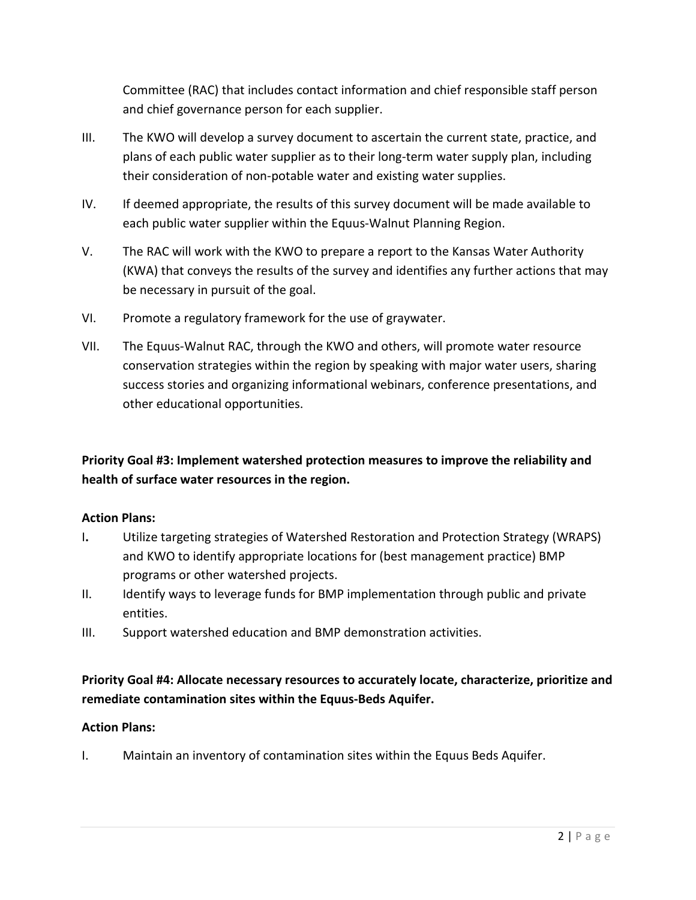Committee (RAC) that includes contact information and chief responsible staff person and chief governance person for each supplier.

- III. The KWO will develop a survey document to ascertain the current state, practice, and plans of each public water supplier as to their long-term water supply plan, including their consideration of non-potable water and existing water supplies.
- IV. If deemed appropriate, the results of this survey document will be made available to each public water supplier within the Equus-Walnut Planning Region.
- V. The RAC will work with the KWO to prepare a report to the Kansas Water Authority (KWA) that conveys the results of the survey and identifies any further actions that may be necessary in pursuit of the goal.
- VI. Promote a regulatory framework for the use of graywater.
- VII. The Equus-Walnut RAC, through the KWO and others, will promote water resource conservation strategies within the region by speaking with major water users, sharing success stories and organizing informational webinars, conference presentations, and other educational opportunities.

# **Priority Goal #3: Implement watershed protection measures to improve the reliability and health of surface water resources in the region.**

## **Action Plans:**

- I**.** Utilize targeting strategies of Watershed Restoration and Protection Strategy (WRAPS) and KWO to identify appropriate locations for (best management practice) BMP programs or other watershed projects.
- II. Identify ways to leverage funds for BMP implementation through public and private entities.
- III. Support watershed education and BMP demonstration activities.

# **Priority Goal #4: Allocate necessary resources to accurately locate, characterize, prioritize and remediate contamination sites within the Equus-Beds Aquifer.**

## **Action Plans:**

I. Maintain an inventory of contamination sites within the Equus Beds Aquifer.